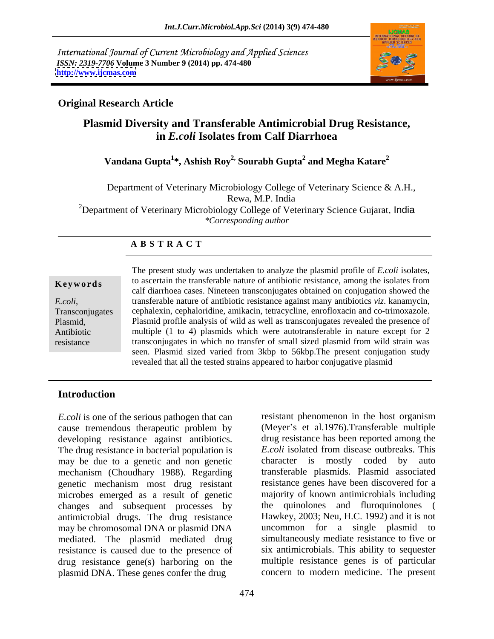International Journal of Current Microbiology and Applied Sciences *ISSN: 2319-7706* **Volume 3 Number 9 (2014) pp. 474-480 <http://www.ijcmas.com>**



### **Original Research Article**

## **Plasmid Diversity and Transferable Antimicrobial Drug Resistance, in** *E.coli* **Isolates from Calf Diarrhoea**

### **Vandana Gupta<sup>1</sup> \*, Ashish Roy2, Sourabh Gupta<sup>2</sup> and Megha Katare<sup>2</sup>**

Department of Veterinary Microbiology College of Veterinary Science & A.H., Rewa, M.P. India <sup>2</sup>Department of Veterinary Microbiology College of Veterinary Science Gujarat, India *\*Corresponding author* 

### **A B S T R A C T**

**Keywords** to ascertain the transferable nature of antibiotic resistance, among the isolates from *E.coli*, transferable nature of antibiotic resistance against many antibiotics *viz*. kanamycin, ransconjugates cephalexin, cephaloridine, amikacin, tetracycline, enrofloxacin and co-trimoxazole. Plasmid, Plasmid profile analysis of wild as well as transconjugates revealed the presence of Antibiotic multiple (1 to 4) plasmids which were autotransferable in nature except for 2 resistance transconjugates in which no transfer of small sized plasmid from wild strain was The present study was undertaken to analyze the plasmid profile of *E.coli* isolates, calf diarrhoea cases. Nineteen transconjugates obtained on conjugation showed the transferable nature of antibiotic resistance against many antibiotics *viz*. kanamycin, seen. Plasmid sized varied from 3kbp to 56kbp.The present conjugation study revealed that all the tested strains appeared to harbor conjugative plasmid

### **Introduction**

*E.coli* is one of the serious pathogen that can cause tremendous therapeutic problem by developing resistance against antibiotics. The drug resistance in bacterial population is <br>may be due to a genetic and non-genetic character is mostly may be due to a genetic and non genetic character is mostly coded by auto mechanism (Choudhary 1988). Regarding genetic mechanism most drug resistant microbes emerged as a result of genetic changes and subsequent processes by antimicrobial drugs. The drug resistance may be chromosomal DNA or plasmid DNA mediated. The plasmid mediated drug resistance is caused due to the presence of six antimicrobials. This ability to sequester drug resistance gene(s) harboring on the plasmid DNA. These genes confer the drug

resistant phenomenon in the host organism (Meyer's et al.1976).Transferable multiple drug resistance has been reported among the *E.coli* isolated from disease outbreaks. This character is mostly coded by auto transferable plasmids. Plasmid associated resistance genes have been discovered for a majority of known antimicrobials including the quinolones and fluroquinolones ( Hawkey, 2003; Neu, H.C. 1992) and it is not uncommon for a single plasmid to simultaneously mediate resistance to five or multiple resistance genes is of particular concern to modern medicine. The present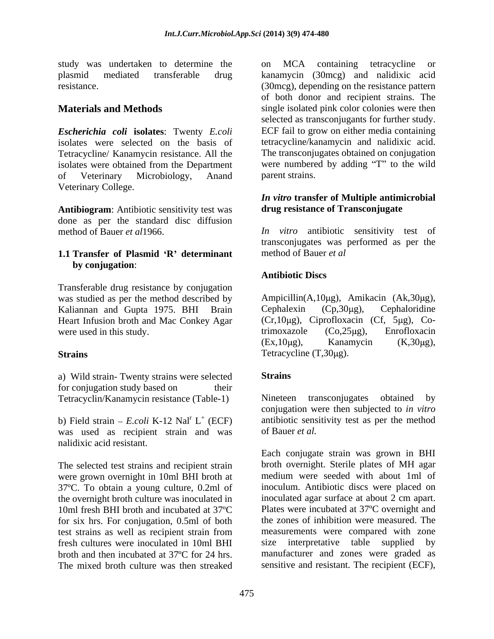study was undertaken to determine the on MCA containing tetracycline or

*Escherichia coli* **isolates**: Twenty *E.coli* Tetracycline/ Kanamycin resistance. All the isolates were obtained from the Department of Veterinary Microbiology, Anand Veterinary College.

**Antibiogram**: Antibiotic sensitivity test was done as per the standard disc diffusion<br>method of Bauer *et al*1966.

# **1.1 Transfer of Plasmid R determinant by conjugation**:

Transferable drug resistance by conjugation was studied as per the method described by  $\qquad$  Ampicillin(A,10 $\mu$ g), Amikacin (Ak,30 $\mu$ g), Kaliannan and Gupta 1975. BHI Brain Cephalexin (Cp,30 $\mu$ g), Cephaloridine Kaliannan and Gupta 1975. BHI Brain Heart Infusion broth and Mac Conkey Agar

a) Wild strain- Twenty strains were selected for conjugation study based on their Tetracyclin/Kanamycin resistance (Table-1) Mineteen transconjugates obtained by

was used as recipient strain and was of Bauer et al. nalidixic acid resistant.

The selected test strains and recipient strain were grown overnight in 10ml BHI broth at 37ºC. To obtain a young culture, 0.2ml of the overnight broth culture was inoculated in for six hrs. For conjugation, 0.5ml of both test strains as well as recipient strain from fresh cultures were inoculated in 10ml BHI broth and then incubated at 37ºC for 24 hrs. The mixed broth culture was then streaked sensitive and resistant. The recipient (ECF),

plasmid mediated transferable drug kanamycin (30mcg) and nalidixic acid resistance. (30mcg), depending on the resistance pattern **Materials and Methods** single isolated pink color colonies were then isolates were selected on the basis of tetracycline/kanamycin and nalidixic acid. on MCA containing tetracycline or of both donor and recipient strains. The selected as transconjugants for further study. ECF fail to grow on either media containing The transconjugates obtained on conjugation were numbered by adding "T" to the wild parent strains.

### *In vitro* **transfer of Multiple antimicrobial drug resistance of Transconjugate**

method of Bauer *et al*1966. *In vitro* antibiotic sensitivity test of transconjugates was performed as per the method of Bauer *et al*

## **Antibiotic Discs**

were used in this study.<br>
trimoxazole  $(Co,25\mu g)$ , Enrofloxacin<br>  $(EX,10\mu g)$ , Kanamycin  $(K,30\mu g)$ , Strains Tetracycline (T,30µg). Ampicillin(A,10 $\mu$ g), Amikacin (Ak,30 $\mu$ g),  $Cephalexin$   $(Cp,30\mu g)$ ,  $Cephaloridine$  $(Cr,10\mu g)$ , Ciprofloxacin  $(Cf, 5\mu g)$ , Co $trianglezole$   $(Co,25µg)$ , Enrofloxacin  $(Ex, 10\mu g)$ , Kanamycin  $(K, 30\mu g)$ , Tetracycline  $(T, 30\mu g)$ .

## **Strains** and **Strains** and **Strains** and **Strains**

b) Field strain  $- E. coli$  K-12 Nal<sup>r</sup> L<sup>+</sup> (ECF) antibiotic sensitivity test as per the method Nineteen transconjugates obtained by conjugation were then subjected to *in vitro* of Bauer *et al.*

10ml fresh BHI broth and incubated at 37<sup>o</sup>C Plates were incubated at 37<sup>o</sup>C overnight and Each conjugate strain was grown in BHI broth overnight. Sterile plates of MH agar medium were seeded with about 1ml of inoculum. Antibiotic discs were placed on inoculated agar surface at about 2 cm apart. Plates were incubated at 37ºC overnight and the zones of inhibition were measured. The measurements were compared with zone interpretative table supplied manufacturer and zones were graded as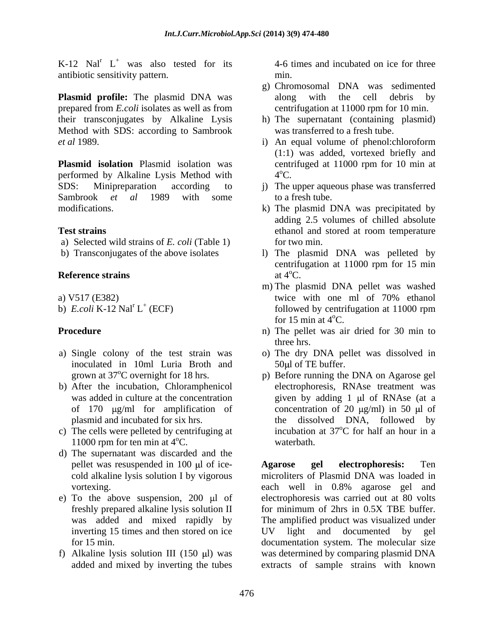K-12 Nal<sup>r</sup>  $L^+$  was also tested for its antibiotic sensitivity pattern.

**Plasmid profile:** The plasmid DNA was along with the cell debris by prepared from *E.coli* isolates as well as from their transconjugates by Alkaline Lysis h) The supernatant (containing plasmid) Method with SDS: according to Sambrook

**Plasmid isolation** Plasmid isolation was centrifuged at 11000 rpm for 10 min at performed by Alkaline Lysis Method with  $4^{\circ}$ C. SDS: Minipreparation according to j) The upper aqueous phase was transferred Sambrook *et al* 1989 with some to a fresh tube. modifications. k) The plasmid DNA was precipitated by

- a) Selected wild strains of *E. coli* (Table 1) for two min.
- 

- inoculated in 10ml Luria Broth and grown at 37°C overnight for 18 hrs.
- b) After the incubation, Chloramphenicol of 170  $\mu$ g/ml for amplification of
- c) The cells were pelleted by centrifuging at 11000 rpm for ten min at  $4^{\circ}$ C. waterbath.
- d) The supernatant was discarded and the
- e) To the above suspension,  $200 \text{ }\mu\text{l}$  of
- 

<sup>+</sup> was also tested for its 4-6 times and incubated on ice for three min.

- g) Chromosomal DNA was sedimented along with the cell debris by centrifugation at 11000 rpm for 10 min.
- was transferred to a fresh tube.
- *et al* 1989. i) An equal volume of phenol:chloroform (1:1) was added, vortexed briefly and  $4^{\circ}$ C. oC.
	- to a fresh tube.
- **Test strains** ethanol and stored at room temperature adding 2.5 volumes of chilled absolute for two min.
- b) Transconjugates of the above isolates and in the plasmid DNA was pelleted by **Reference strains** at  $4^{\circ}$ C. centrifugation at 11000 rpm for 15 min at  $4^{\circ}$ C.
- a) V517 (E382) twice with one ml of  $70\%$  ethanol b)  $E\text{.}coli\ K-12\ \text{Nal}^r\ L^+$  (ECF) followed by centrifugation at 11000 rpm m) The plasmid DNA pellet was washed twice with one ml of 70% ethanol followed by centrifugation at 11000 rpm for 15 min at  $4^{\circ}$ C.
- **Procedure** n) The pellet was air dried for 30 min to three hrs.
- a) Single colony of the test strain was o) The dry DNA pelletwas dissolved in  $50 \mu$ l of TE buffer.
	- was added in culture at the concentration silven by adding 1 µl of RNAse (at a plasmid and incubated for six hrs. the dissolved DNA, followed by p) Before running the DNA on Agarose gel electrophoresis, RNAse treatment was concentration of 20  $\mu$ g/ml) in 50  $\mu$ l of incubation at 37°C for half an hour in a oC for half an hour in a waterbath.

pellet was resuspended in 100 µl of ice-<br>Agarose gel electrophoresis: Ten cold alkaline lysis solution I by vigorous microliters of Plasmid DNA was loaded in vortexing. each well in 0.8% agarose gel and freshly prepared alkaline lysis solution II was added and mixed rapidly by The amplified product was visualized under inverting 15 times and then stored on ice in UV light and documented by gel for 15 min. documentation system. The molecular size f) Alkaline lysis solution III (150 µl) was was determined by comparing plasmid DNA added and mixed by inverting the tubes extracts of sample strains with known**Agarose gel electrophoresis:** Ten electrophoresis was carried out at 80 volts for minimum of 2hrs in 0.5X TBE buffer. UV light and documented by gel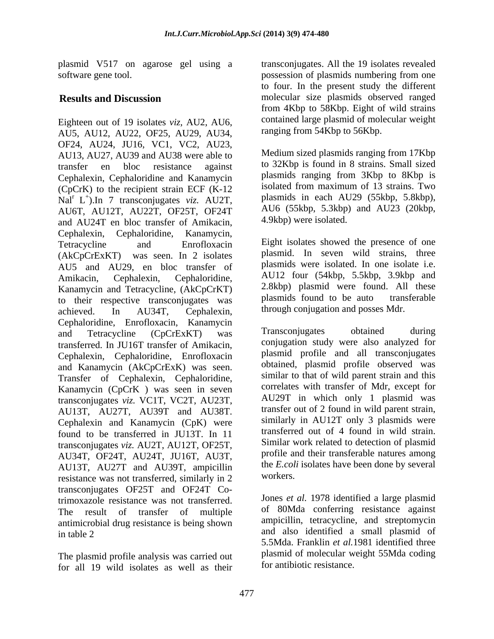Eighteen out of 19 isolates *viz,* AU2, AU6, AU5, AU12, AU22, OF25, AU29, AU34, OF24, AU24, JU16, VC1, VC2, AU23, AU13, AU27, AU39 and AU38 were able to transfer en bloc resistance against to 32Kbp is found in 8 strains. Small sized Cephalexin, Cephaloridine and Kanamycin (CpCrK) to the recipient strain ECF (K-12 Nal<sup>r</sup> L<sup>+</sup>).In 7 transconjugates *viz.* AU2T, plasmids in each AU29 (55kbp, 5.8kbp), AU6T, AU12T, AU22T, OF25T, OF24T and AU24T en bloc transfer of Amikacin, Cephalexin, Cephaloridine, Kanamycin, Tetracycline and Enrofloxacin Eight isolates showed the presence of one (AkCpCrExKT) was seen. In 2 isolates plasmid. In seven wild strains, three AU5 and AU29, en bloc transfer of Amikacin, Cephalexin, Cephaloridine, AU12 four (54kbp, 5.5kbp, 3.9kbp and Kanamycin and Tetracycline, (AkCpCrKT) 2.8kbp) plasmid were found. All these<br>to their respective transconiugates was plasmids found to be auto transferable to their respective transconjugates was achieved. In AU34T, Cephalexin, through conjugation and posses Mdr. Cephaloridine, Enrofloxacin, Kanamycin<br>and Tetracycline (CpCrFxKT) was Transconjugates obtained during and Tetracycline (CpCrExKT) was Iransconjugates obtained during transferred. In JU16T transfer of Amikacin, Cephalexin, Cephaloridine, Enrofloxacin and Kanamycin (AkCpCrExK) was seen. Transfer of Cephalexin, Cephaloridine, Kanamycin (CpCrK ) was seen in seven transconjugates *viz.* VC1T, VC2T, AU23T, AU13T, AU27T, AU39T and AU38T. Cephalexin and Kanamycin (CpK) were found to be transferred in JU13T. In 11 transconjugates *viz.* AU2T, AU12T, OF25T, AU34T, OF24T, AU24T, JU16T, AU3T, AU13T, AU27T and AU39T, ampicillin the E.col registered was not transformed similarly in 2 workers. resistance was not transferred, similarly in 2 transconjugates OF25T and OF24T Cotrimoxazole resistance was not transferred. The result of transfer of multiple antimicrobial drug resistance is being shown

The plasmid profile analysis was carried out for all 19 wild isolates as well as their

plasmid V517 on agarose gel using a transconjugates. All the 19 isolates revealed software gene tool. possession of plasmids numbering from one **Results and Discussion** molecular size plasmids observed ranged to four. In the present study the different from 4Kbp to 58Kbp. Eight of wild strains contained large plasmid of molecular weight ranging from 54Kbp to 56Kbp.

 $\overrightarrow{p}$  In 7 transconiugates viz AU2T plasmids in each AU29 (55kbp, 5.8kbp), Medium sized plasmids ranging from 17Kbp plasmids ranging from 3Kbp to 8Kbp is isolated from maximum of 13 strains. Two AU6 (55kbp, 5.3kbp) and AU23 (20kbp, 4.9kbp) were isolated.

> Eight isolates showed the presence of one plasmids were isolated. In one isolate i.e. 2.8kbp) plasmid were found. All these plasmids found to be auto through conjugation and posses Mdr.

Transconjugates obtained during conjugation study were also analyzed for plasmid profile and all transconjugates obtained, plasmid profile observed was similar to that of wild parent strain and this correlates with transfer of Mdr, except for AU29T in which only 1 plasmid was transfer out of 2 found in wild parent strain, similarly in AU12T only 3 plasmids were transferred out of 4 found in wild strain. Similar work related to detection of plasmid profile and their transferable natures among the *E.coli* isolates have been done by several workers.

in table 2 and also identified a small plasmid of Jones *et al.* 1978 identified a large plasmid of 80Mda conferring resistance against ampicillin, tetracycline, and streptomycin 5.5Mda. Franklin *et al.*1981 identified three plasmid of molecular weight 55Mda coding for antibiotic resistance.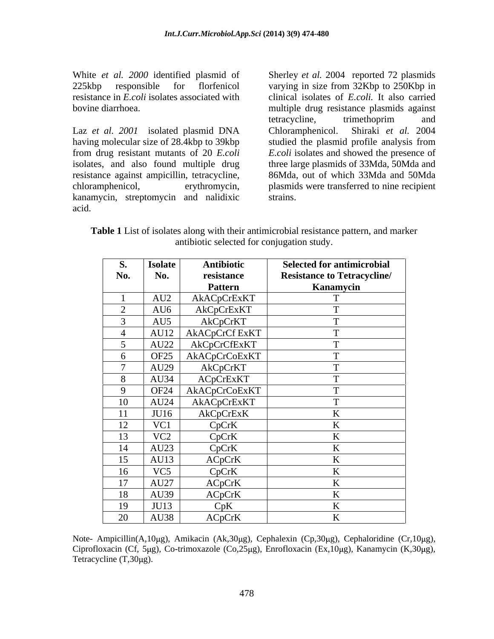White *et al. 2000* identified plasmid of Sherley *et al.* 2004 reported 72 plasmids

Laz *et al.* 2001 isolated plasmid DNA Chloramphenicol. having molecular size of 28.4kbp to 39kbp studied the plasmid profile analysis from from drug resistant mutants of 20 *E.coli E.coli* isolates and showed the presence of isolates, and also found multiple drug three large plasmids of 33Mda, 50Mda and resistance against ampicillin, tetracycline, 86Mda, out of which 33Mda and 50Mda chloramphenicol, erythromycin, plasmids were transferred to nine recipient kanamycin, streptomycin and nalidixic acid.

225kbp responsible for florfenicol varying in size from 32Kbp to 250Kbp in resistance in *E.coli* isolates associated with clinical isolates of *E.coli.* It also carried bovine diarrhoea. multiple drug resistance plasmids against tetracycline, trimethoprim and Shiraki *et al.* 2004 strains.

**Table 1** List of isolates along with their antimicrobial resistance pattern, and marker antibiotic selected for conjugation study.

| <b>S.</b> | <b>Isolate</b>   | Antibiotic     | <b>Selected for antimicrobial</b>  |
|-----------|------------------|----------------|------------------------------------|
| No.       | No.              | resistance     | <b>Resistance to Tetracycline/</b> |
|           |                  | <b>Pattern</b> | Kanamycin                          |
|           | AU2              | AkACpCrExKT    |                                    |
|           | AU6              | AkCpCrExKT     |                                    |
|           | AU5              | AkCpCrKT       | $\mathbf{r}$                       |
|           | AU12             | AKACpCrCf ExKT |                                    |
|           | AU22             | AkCpCrCfExKT   |                                    |
| $\sigma$  | OF <sub>25</sub> | AkACpCrCoExKT  | $\mathbf{r}$                       |
|           | AU29             | AkCpCrKT       | $\mathbf{r}$                       |
|           | AU34             | ACpCrExKT      | $\overline{ }$                     |
|           | <b>OF24</b>      | AkACpCrCoExKT  |                                    |
| 10        | AU24             | AkACpCrExKT    |                                    |
| 11        | JU16             | AkCpCrExK      | TZ<br>$\mathbf{v}$                 |
| 12        | VC1              | CpCrK          | T.                                 |
| 13        | VC <sub>2</sub>  | CpCrK          | T                                  |
| 14        | AU23             | CpCrK          | T.                                 |
| 15        | AU13             | ACpCrK         | <b>T</b> Z<br>$\mathbf{v}$         |
| 16        | VC <sub>5</sub>  | CpCrK          | TZ.                                |
| 17        | AU27             | ACpCrK         | $\mathbf{r}$                       |
| 18        | AU39             | ACpCrK         |                                    |
| 19        | JU13             | CpK            | T.<br>17                           |
| 20        | AU38             | ACpCrK         | T                                  |

Note- Ampicillin(A,10 $\mu$ g), Amikacin (Ak,30 $\mu$ g), Cephalexin (Cp,30 $\mu$ g), Cephaloridine (Cr,10 $\mu$ g), Ciprofloxacin (Cf, 5µg), Co-trimoxazole (Co,25µg), Enrofloxacin (Ex,10µg), Kanamycin (K,30µg), Tetracycline  $(T,30\mu g)$ .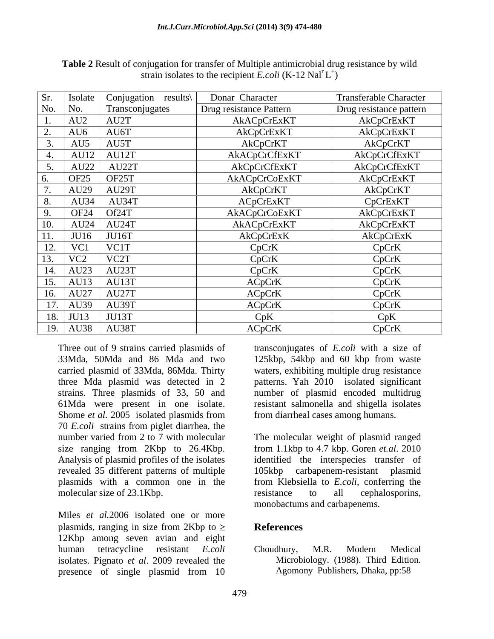| Sr.        | Isolate               | Conjugation results\       | Donar Character         | <b>Transferable Character</b> |
|------------|-----------------------|----------------------------|-------------------------|-------------------------------|
| No.        | No.                   | Transconjugates            | Drug resistance Pattern | Drug resistance pattern       |
|            | AU2                   | AU2T                       | AkACpCrExKT             | AkCpCrExKT                    |
| <b>⁄</b> . | AU6                   | AU6T                       | AkCpCrExKT              | AkCpCrExKT                    |
|            | AU5                   | AU5T                       | AkCpCrKT                | AkCpCrKT                      |
|            |                       | $\vert$ AU12 $\vert$ AU12T | AkACpCrCfExKT           | AkCpCrCfExKT                  |
|            | AU22                  | AU22T                      | AkCpCrCfExKT            | AkCpCrCfExKT                  |
|            | <b>OF25</b>           | OF25T                      | AkACpCrCoExKT           | AkCpCrExKT                    |
|            | AU29                  | AU29T                      | AkCpCrKT                | AkCpCrKT                      |
|            | AU34                  | AU34T                      | ACpCrExKT               | CpCrExKT                      |
| ╯.         | OF24 Of24T            |                            | AkACpCrCoExKT           | AkCpCrExKT                    |
| 10.        |                       | $AU24$   AU24T             | AkACpCrExKT             | AkCpCrExKT                    |
| 11.        | JU16                  | JU16T                      | AkCpCrExK               | AkCpCrExK                     |
| 12.        | $\mathbf{V}$ $\Omega$ | VC1T                       | CpCrK                   | CpCrK                         |
| 13.        | VC <sub>2</sub>       | VC <sub>2</sub> T          | CpCrK                   | CpCrK                         |
| 14.        | AU23                  | AU23T                      | CpCrK                   | CpCrK                         |
| 15.        | AU13                  | AU13T                      | ACpCrK                  | CpCrK                         |
| 16.        | AU27                  | AU27T                      | ACpCrK                  | CpCrK                         |
| 17.        | AU39                  | AU39T                      | ACpCrK                  | CpCrK                         |
| 18.        | <b>JU13</b>           | $ $ JU13T                  | CpK                     | CpK                           |
| 19.        |                       | AU38   AU38T               | ACpCrK                  | CpCrK                         |

**Table 2** Result of conjugation for transfer of Multiple antimicrobial drug resistance by wild strain isolates to the recipient *E.coli* (K-12 Nal<sup>r</sup> L<sup>+</sup>)  $+\sqrt{2}$ ) and the contract of  $\mathcal{L}$ 

33Mda, 50Mda and 86 Mda and two 125kbp, 54kbp and 60 kbp from waste carried plasmid of 33Mda, 86Mda. Thirty waters, exhibiting multiple drug resistance three Mda plasmid was detected in 2 patterns. Yah 2010 isolated significant strains. Three plasmids of 33, 50 and number of plasmid encoded multidrug 61Mda were present in one isolate. resistant salmonella and shigella isolates Shome *et al.* 2005 isolated plasmids from from diarrheal cases among humans. 70 *E.coli* strains from piglet diarrhea, the revealed 35 different patterns of multiple molecular size of 23.1Kbp. resistance to all cephalosporins,

Miles *et al.*2006 isolated one or more plasmids, ranging in size from 2Kbp to  $\geq$  References 12Kbp among seven avian and eight human tetracycline resistant *E.coli* isolates. Pignato *et al*. 2009 revealed the presence of single plasmid from 10

Three out of 9 strains carried plasmids of transconjugates of *E.coli* with a size of from diarrheal cases among humans.

number varied from 2 to 7 with molecular The molecular weight of plasmid ranged size ranging from 2Kbp to 26.4Kbp. from 1.1kbp to 4.7 kbp. Goren *et.al*. 2010 Analysis of plasmid profiles of the isolates identified the interspecies transfer of plasmids with a common one in the from Klebsiella to *E.coli*, conferring the carbapenem-resistant plasmid resistance to all cephalosporins, monobactums and carbapenems.

### **References**

Choudhury, M.R. Modern Medical Microbiology. (1988). Third Edition. Agomony Publishers, Dhaka, pp:58